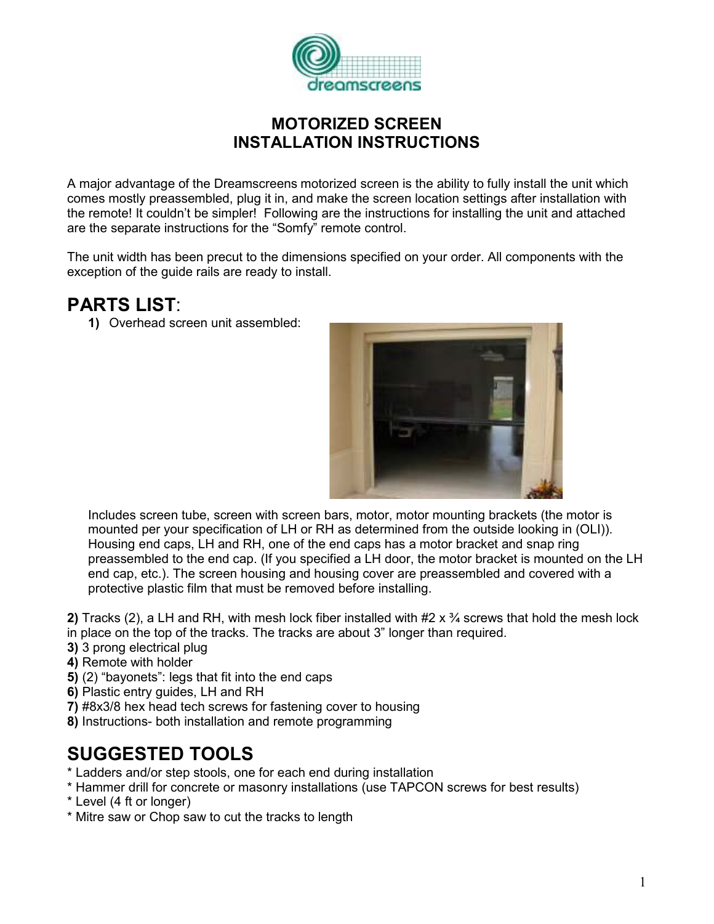

## MOTORIZED SCREEN INSTALLATION INSTRUCTIONS

A major advantage of the Dreamscreens motorized screen is the ability to fully install the unit which comes mostly preassembled, plug it in, and make the screen location settings after installation with the remote! It couldn't be simpler! Following are the instructions for installing the unit and attached are the separate instructions for the "Somfy" remote control.

The unit width has been precut to the dimensions specified on your order. All components with the exception of the guide rails are ready to install.

## PARTS LIST:

1) Overhead screen unit assembled:



Includes screen tube, screen with screen bars, motor, motor mounting brackets (the motor is mounted per your specification of LH or RH as determined from the outside looking in (OLI)). Housing end caps, LH and RH, one of the end caps has a motor bracket and snap ring preassembled to the end cap. (If you specified a LH door, the motor bracket is mounted on the LH end cap, etc.). The screen housing and housing cover are preassembled and covered with a protective plastic film that must be removed before installing.

2) Tracks (2), a LH and RH, with mesh lock fiber installed with  $#2 \times \frac{3}{4}$  screws that hold the mesh lock

- in place on the top of the tracks. The tracks are about 3" longer than required.
- 3) 3 prong electrical plug
- 4) Remote with holder
- 5) (2) "bayonets": legs that fit into the end caps
- 6) Plastic entry guides, LH and RH
- 7) #8x3/8 hex head tech screws for fastening cover to housing
- 8) Instructions- both installation and remote programming

# SUGGESTED TOOLS

- \* Ladders and/or step stools, one for each end during installation
- \* Hammer drill for concrete or masonry installations (use TAPCON screws for best results)
- \* Level (4 ft or longer)
- \* Mitre saw or Chop saw to cut the tracks to length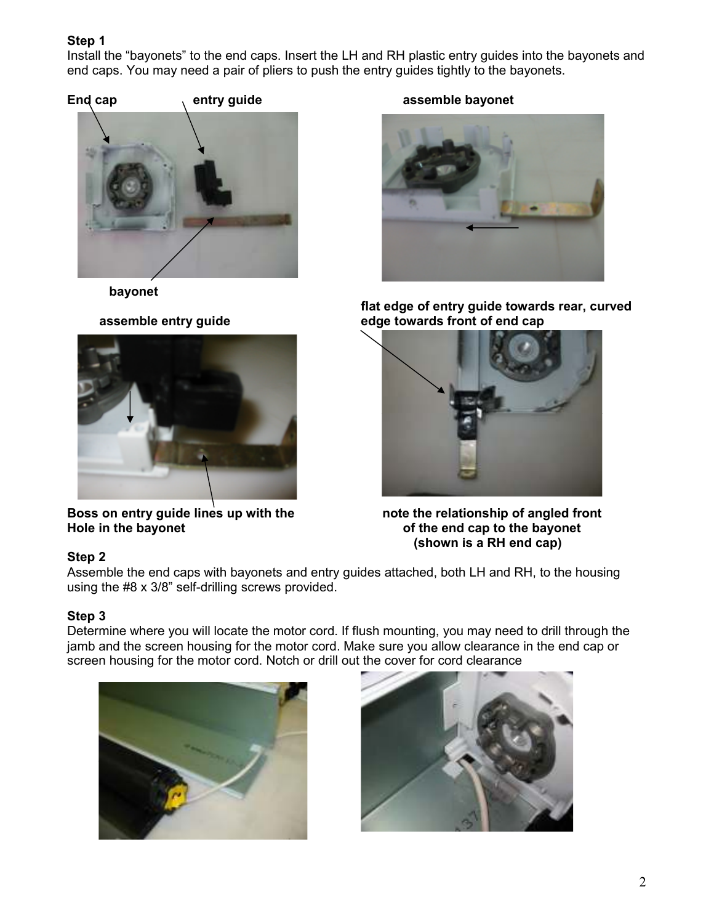Install the "bayonets" to the end caps. Insert the LH and RH plastic entry guides into the bayonets and end caps. You may need a pair of pliers to push the entry guides tightly to the bayonets.





bayonet



Boss on entry guide lines up with the note the relationship of angled front Hole in the bayonet **of the end cap to the bayonet** 

### End cap entry guide assemble bayonet



flat edge of entry guide towards rear, curved<br>edge towards front of end cap<br>edge towards front of end cap edge towards front of end cap



(shown is a RH end cap)

## Step 2

Assemble the end caps with bayonets and entry guides attached, both LH and RH, to the housing using the #8 x 3/8" self-drilling screws provided.

## Step 3

Determine where you will locate the motor cord. If flush mounting, you may need to drill through the jamb and the screen housing for the motor cord. Make sure you allow clearance in the end cap or screen housing for the motor cord. Notch or drill out the cover for cord clearance



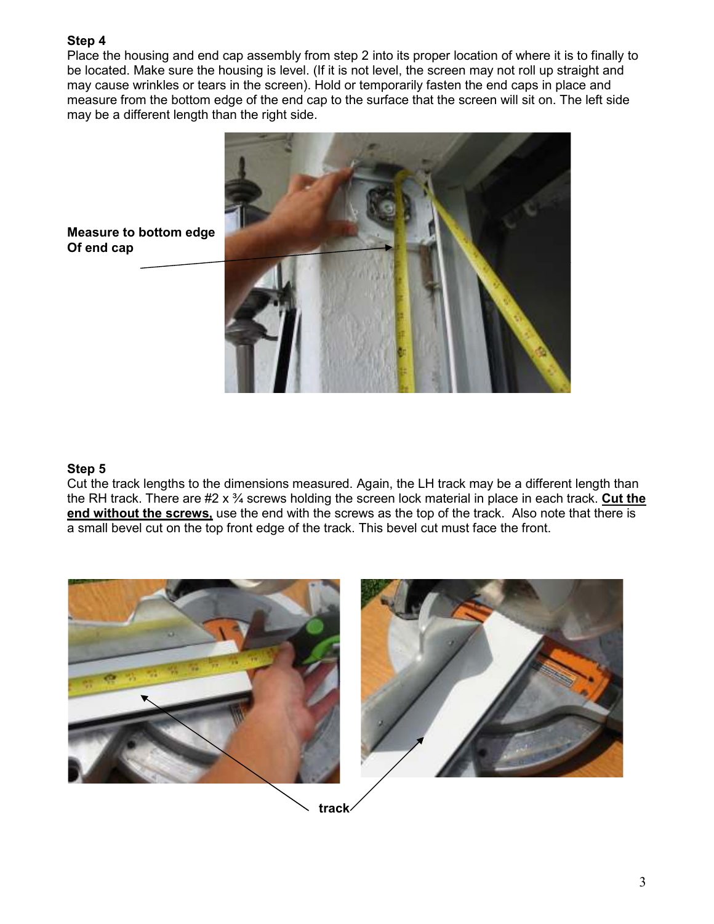Place the housing and end cap assembly from step 2 into its proper location of where it is to finally to be located. Make sure the housing is level. (If it is not level, the screen may not roll up straight and may cause wrinkles or tears in the screen). Hold or temporarily fasten the end caps in place and measure from the bottom edge of the end cap to the surface that the screen will sit on. The left side may be a different length than the right side.



Measure to bottom edge Of end cap

### Step 5

Cut the track lengths to the dimensions measured. Again, the LH track may be a different length than the RH track. There are  $#2 \times 3/4$  screws holding the screen lock material in place in each track. Cut the end without the screws, use the end with the screws as the top of the track. Also note that there is a small bevel cut on the top front edge of the track. This bevel cut must face the front.

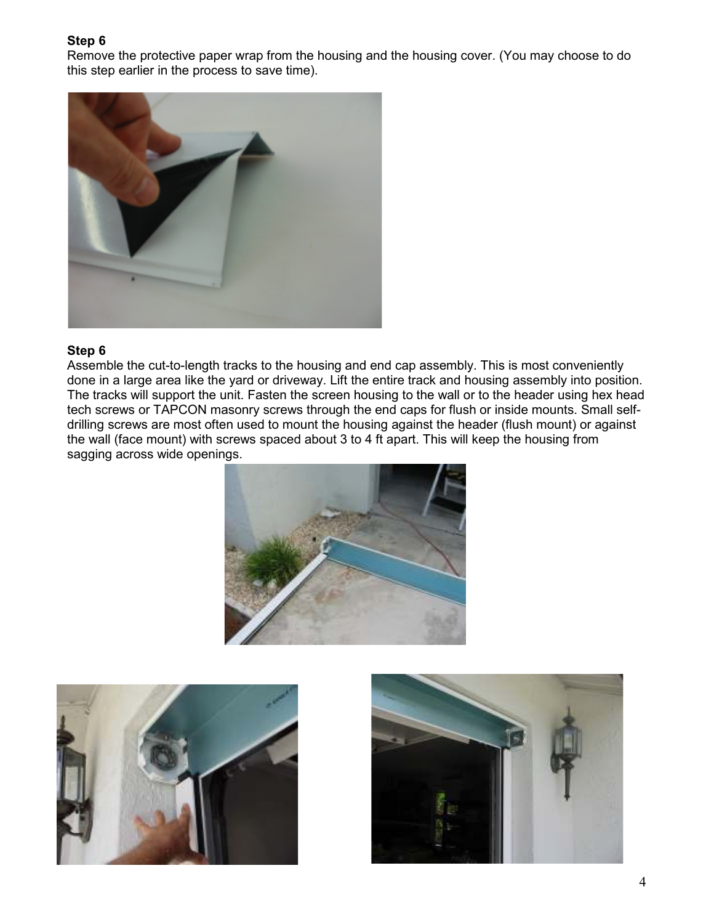Remove the protective paper wrap from the housing and the housing cover. (You may choose to do this step earlier in the process to save time).



### Step 6

Assemble the cut-to-length tracks to the housing and end cap assembly. This is most conveniently done in a large area like the yard or driveway. Lift the entire track and housing assembly into position. The tracks will support the unit. Fasten the screen housing to the wall or to the header using hex head tech screws or TAPCON masonry screws through the end caps for flush or inside mounts. Small selfdrilling screws are most often used to mount the housing against the header (flush mount) or against the wall (face mount) with screws spaced about 3 to 4 ft apart. This will keep the housing from sagging across wide openings.





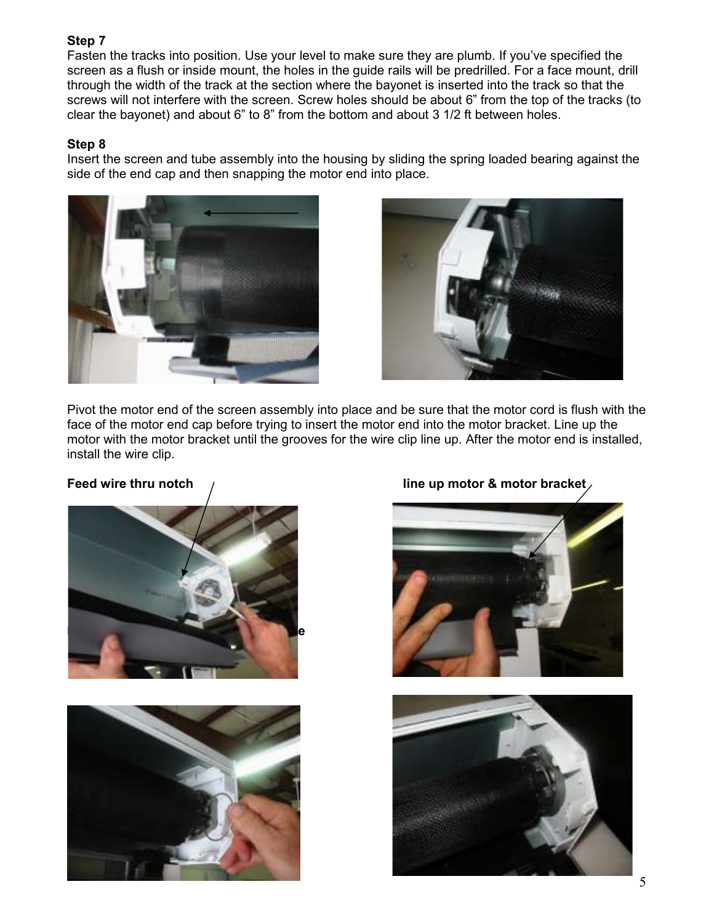Fasten the tracks into position. Use your level to make sure they are plumb. If you've specified the screen as a flush or inside mount, the holes in the guide rails will be predrilled. For a face mount, drill through the width of the track at the section where the bayonet is inserted into the track so that the screws will not interfere with the screen. Screw holes should be about 6" from the top of the tracks (to clear the bayonet) and about 6" to 8" from the bottom and about 3 1/2 ft between holes.

### Step 8

Insert the screen and tube assembly into the housing by sliding the spring loaded bearing against the side of the end cap and then snapping the motor end into place.





Pivot the motor end of the screen assembly into place and be sure that the motor cord is flush with the face of the motor end cap before trying to insert the motor end into the motor bracket. Line up the motor with the motor bracket until the grooves for the wire clip line up. After the motor end is installed, install the wire clip.





## Feed wire thru notch  $\mu$  ine up motor & motor bracket



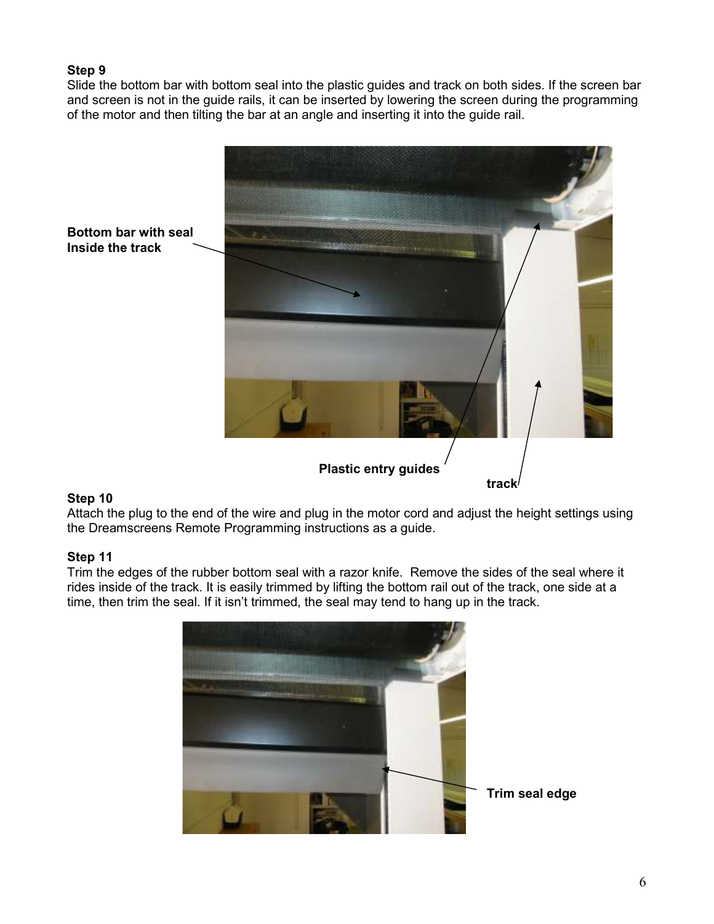Slide the bottom bar with bottom seal into the plastic guides and track on both sides. If the screen bar and screen is not in the guide rails, it can be inserted by lowering the screen during the programming of the motor and then tilting the bar at an angle and inserting it into the guide rail.



### Step 10

Attach the plug to the end of the wire and plug in the motor cord and adjust the height settings using the Dreamscreens Remote Programming instructions as a guide.

### Step 11

Trim the edges of the rubber bottom seal with a razor knife. Remove the sides of the seal where it rides inside of the track. It is easily trimmed by lifting the bottom rail out of the track, one side at a time, then trim the seal. If it isn't trimmed, the seal may tend to hang up in the track.

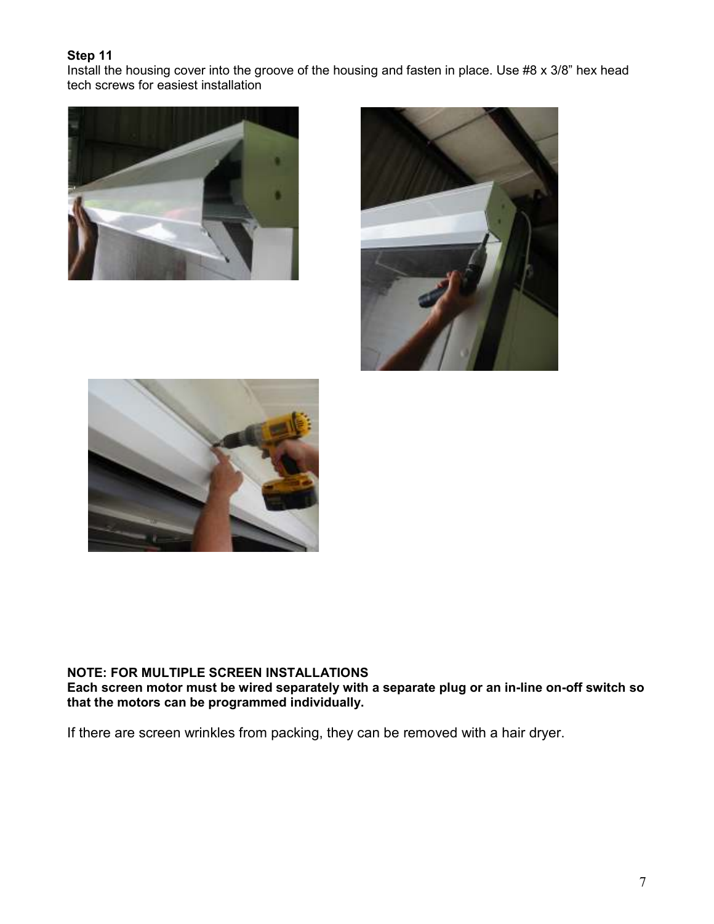Install the housing cover into the groove of the housing and fasten in place. Use #8 x 3/8" hex head tech screws for easiest installation







### NOTE: FOR MULTIPLE SCREEN INSTALLATIONS

Each screen motor must be wired separately with a separate plug or an in-line on-off switch so that the motors can be programmed individually.

If there are screen wrinkles from packing, they can be removed with a hair dryer.